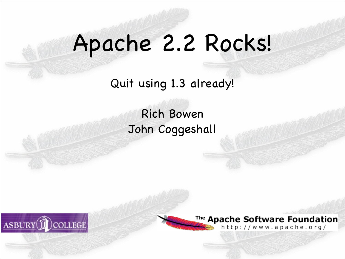#### Apache 2.2 Rocks!

Quit using 1.3 already!

Rich Bowen John Coggeshall





<sup>The</sup> Apache Software Foundation http://www.apache.org/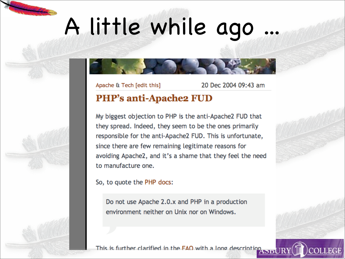## A little while ago

Apache & Tech [edit this]

20 Dec 2004 09:43 am

#### **PHP's anti-Apache2 FUD**

My biggest objection to PHP is the anti-Apache2 FUD that they spread. Indeed, they seem to be the ones primarily responsible for the anti-Apache2 FUD. This is unfortunate, since there are few remaining legitimate reasons for avoiding Apache2, and it's a shame that they feel the need to manufacture one.

So, to quote the PHP docs:

Do not use Apache 2.0.x and PHP in a production environment neither on Unix nor on Windows.

This is further clarified in the FAO with a long description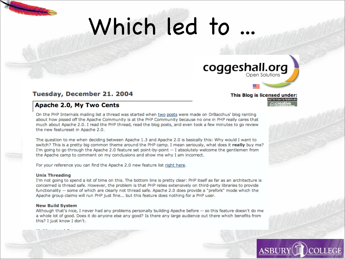## Which led to

#### coggeshall.org

This Blog is licensed under:

SOME BIGHTS BESER

#### Tuesday, December 21. 2004

#### Apache 2.0, My Two Cents

On the PHP Internals mailing list a thread was started when two posts were made on DrBacchus' blog ranting about how pissed off the Apache Community is at the PHP Community because no one in PHP really cares that much about Apache 2.0. I read the PHP thread, read the blog posts, and even took a few minutes to go review the new featureset in Apache 2.0.

The question to me when deciding between Apache 1.3 and Apache 2.0 is basically this: Why would I want to switch? This is a pretty big common theme around the PHP camp. I mean seriously, what does it really buy me? I'm going to go through the Apache 2.0 feature set point-by-point -- I absolutely welcome the gentlemen from the Apache camp to comment on my conclusions and show me why I am incorrect.

For your reference you can find the Apache 2.0 new feature list right here.

#### **Unix Threading**

I'm not going to spend a lot of time on this. The bottom line is pretty clear: PHP itself as far as an architecture is concerned is thread safe. However, the problem is that PHP relies extensively on third-party libraries to provide functionality -- some of which are clearly not thread safe. Apache 2.0 does provide a "prefork" mode which the Apache group claims will run PHP just fine... but this feature does nothing for a PHP user.

#### **New Build System**

Although that's nice, I never had any problems personally building Apache before -- so this feature doesn't do me a whole lot of good. Does it do anyone else any good? Is there any large audience out there which benefits from this? I just know I don't.

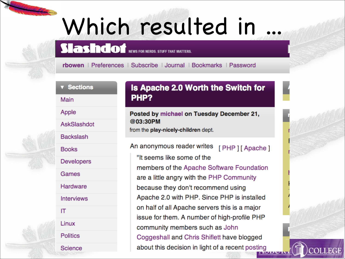### Which resulted in

**Slashdof** NEWS FOR NERDS. STUFF THAT MATTERS.

rbowen | Preferences | Subscribe | Journal | Bookmarks | Password

**v** Sections

Main

Apple

AskSlashdot

**Backslash** 

**Books** 

**Developers** 

Games

Hardware

**Interviews** 

IT

Linux

**Politics** 

**Science** 

#### Is Apache 2.0 Worth the Switch for PHP?

Posted by michael on Tuesday December 21, @03:30PM from the play-nicely-children dept.

An anonymous reader writes [PHP][Apache] "It seems like some of the members of the Apache Software Foundation are a little angry with the PHP Community because they don't recommend using Apache 2.0 with PHP. Since PHP is installed on half of all Apache servers this is a major issue for them. A number of high-profile PHP community members such as John Coggeshall and Chris Shiflett have blogged about this decision in light of a recent posting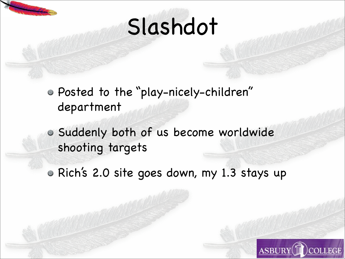

## Slashdot

- Posted to the "play-nicely-children " department
- Suddenly both of us become worldwide shooting targets
- Rich's 2.0 site goes down, my 1.3 stays up

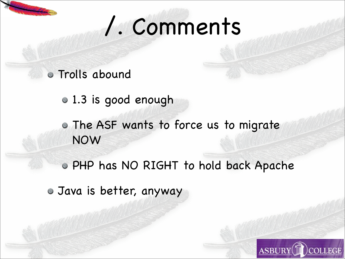### /. Comments

#### Trolls abound

- 1.3 is good enough
- The ASF wants to force us to migrate NOW
- PHP has NO RIGHT to hold back Apache
- Java is better, anyway

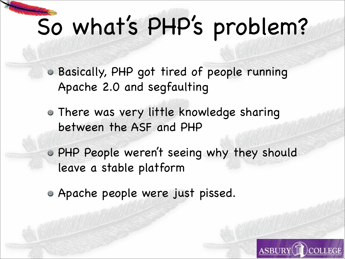# So what's PHP's problem?

Basically, PHP got tired of people running Apache 2.0 and segfaulting

- There was very little knowledge sharing between the ASF and PHP
- PHP People weren 't seeing why they should leave a stable platform
- Apache people were just pissed.

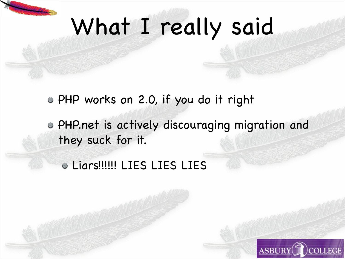### What I really said

- PHP works on 2.0, if you do it right
- PHP.net is actively discouraging migration and they suck for it.
	- Liars!!!!!! LIES LIES LIES

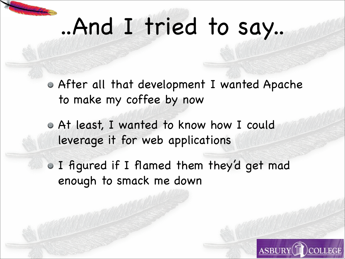## ..And I tried to say..

After all that development I wanted Apache to make my coffee by now

At least, I wanted to know how I could leverage it for web applications

I figured if I flamed them they 'd get mad enough to smack me down

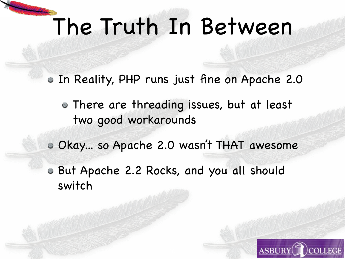## The Truth In Between

In Reality, PHP runs just fine on Apache 2.0

There are threading issues, but at least two good workarounds

Okay... so Apache 2.0 wasn 't THAT awesome

But Apache 2.2 Rocks, and you all should switch

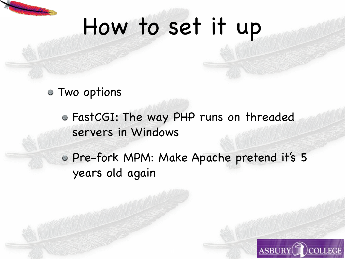# How to set it up

Two options

FastCGI: The way PHP runs on threaded servers in Windows

Pre-fork MPM: Make Apache pretend it's 5 years old again

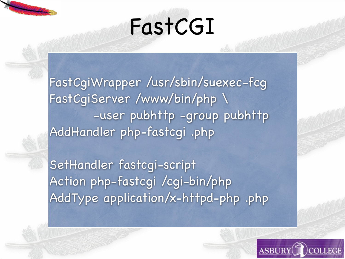

# FastCGI

FastCgiWrapper /usr/sbin/suexec-fcg FastCgiServer /www/bin/php \ -user pubhttp -group pubhttp AddHandler php-fastcgi .php

SetHandler fastcgi-script Action php-fastcgi /cgi-bin/php AddType application/x-httpd-php .php

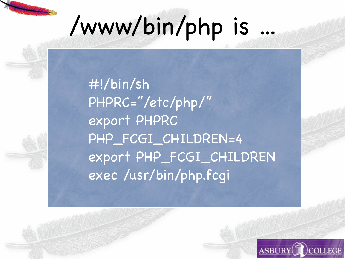# /www/bin/php is

 #!/bin/sh PHPRC="/etc/php/" export PHPRC PHP\_FCGI\_CHILDREN=4 export PHP\_FCGI\_CHILDREN exec /usr/bin/php.fcgi

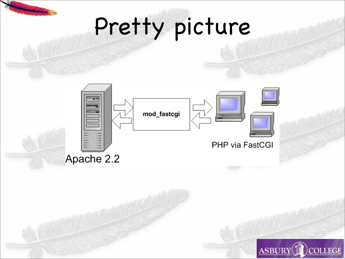



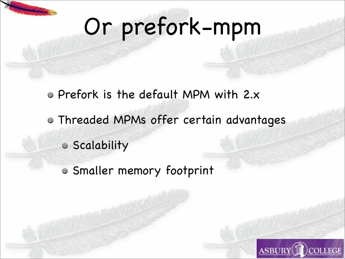## Or prefork-mpm

- Prefork is the default MPM with 2.x
- Threaded MPMs offer certain advantages
	- Scalability
	- Smaller memory footprint

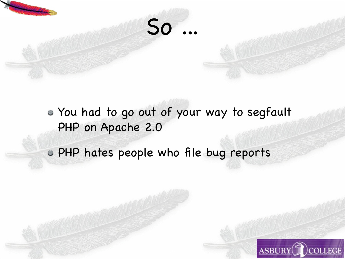

You had to go out of your way to segfault PHP on Apache 2.0

PHP hates people who file bug reports

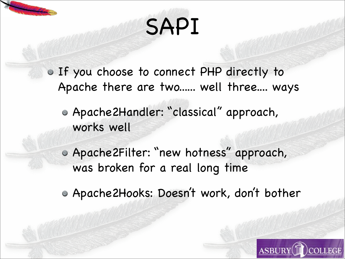# SAPI

If you choose to connect PHP directly to Apache there are two...... well three.... ways

Apache2Handler: "classical" approach, works well

Apache2Filter: "new hotness" approach, was broken for a real long time

Apache2Hooks: Doesn 't work, don 't bother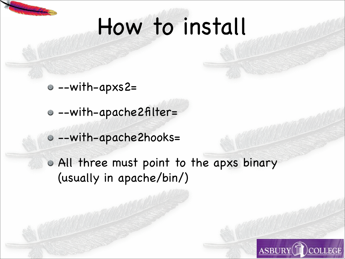### How to install

- --with-apxs2=
- --with-apache2filter=
- --with-apache2hooks=
- All three must point to the apxs binary (usually in apache/bin/)

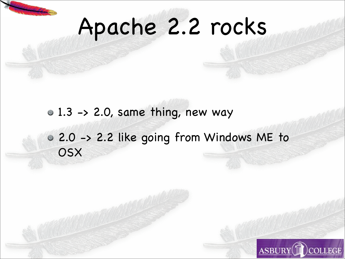

## Apache 2.2 rocks

- $\circ$  1.3 -> 2.0, same thing, new way
- 2.0 -> 2.2 like going from Windows ME to **OSX**

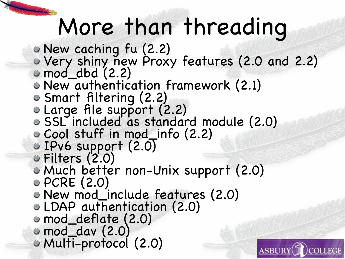### More than threading

- New caching fu (2.2)
- Very shiny new Proxy features (2.0 and 2.2)

**ASBURY** 

- mod\_dbd (2.2)
- New authentication framework (2.1)
- Smart filtering (2.2)
- Large file support (2.2)
- SSL included as standard module (2.0)
- Cool stuff in mod\_info (2.2)
- IPv6 support (2.0)
- Filters (2.0)
- Much better non-Unix support (2.0)
- PCRE (2.0)
- New mod\_include features (2.0)
- LDAP authentication (2.0)
- mod\_deflate (2.0)
- mod\_dav (2.0)
- Multi-protocol (2.0)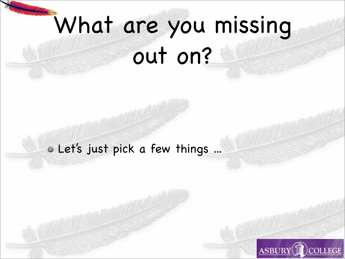# What are you missing

out on?

#### Let's just pick a few things ...

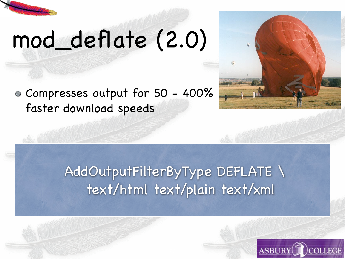

## mod\_deflate (2.0)

Compresses output for 50 - 400% faster download speeds

#### AddOutputFilterByType DEFLATE \ text/html text/plain text/xml



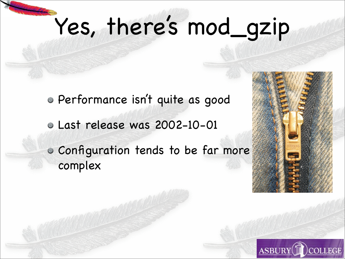# Yes, there's mod\_gzip

Performance isn't quite as good Last release was 2002-10-01 Configuration tends to be far more complex



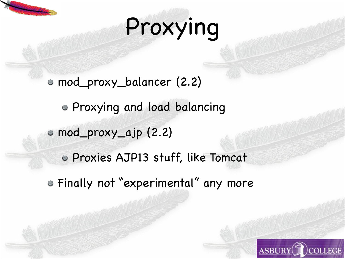# Proxying

mod\_proxy\_balancer (2.2) Proxying and load balancing mod\_proxy\_ajp (2.2) Proxies AJP13 stuff, like Tomcat Finally not "experimental" any more

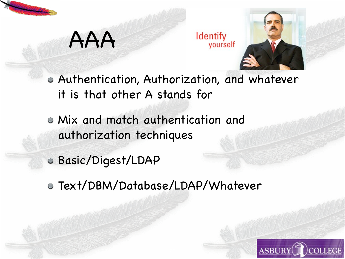

#### AAA

**Identify** yourself



- Authentication, Authorization, and whatever it is that other A stands for
- Mix and match authentication and authorization techniques
- Basic/Digest/LDAP
- Text/DBM/Database/LDAP/Whatever

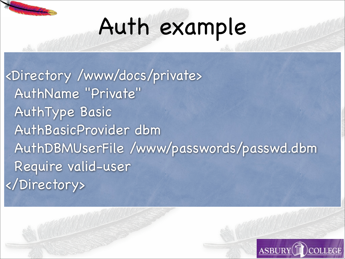

## Auth example

<Directory /www/docs/private> AuthName "Private" AuthType Basic AuthBasicProvider dbm AuthDBMUserFile /www/passwords/passwd.dbm Require valid-user </Directory>

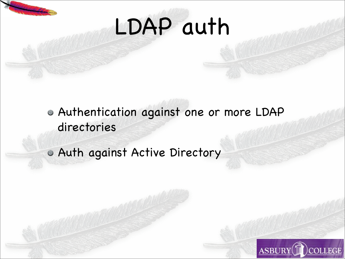

## LDAP auth

- Authentication against one or more LDAP directories
- Auth against Active Directory

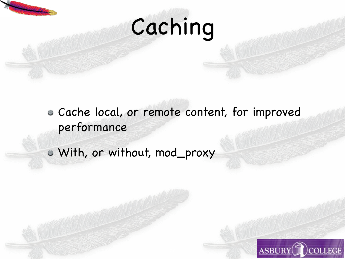

# Caching

- Cache local, or remote content, for improved performance
- With, or without, mod\_proxy

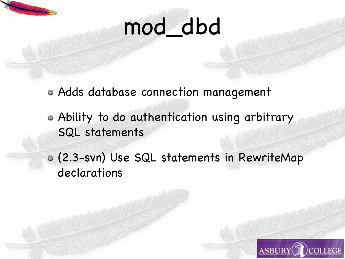

## mod\_dbd

- Adds database connection management
- Ability to do authentication using arbitrary SQL statements
- (2.3-svn) Use SQL statements in RewriteMap declarations

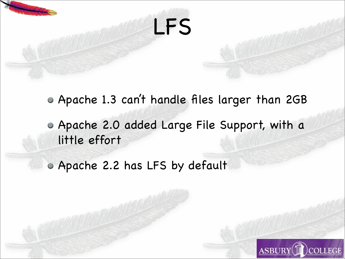

Apache 1.3 can 't handle files larger than 2GB

LFS

Apache 2.0 added Large File Support, with a little effort

Apache 2.2 has LFS by default

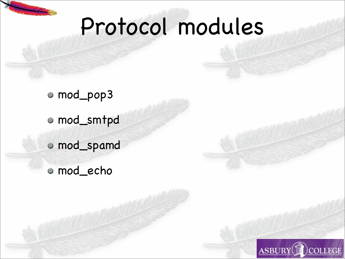

### Protocol modules

mod\_pop3 mod\_smtpd mod\_spamd mod\_echo

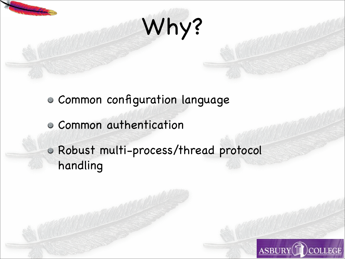

# Why?

- Common configuration language
- Common authentication
- Robust multi-process/thread protocol handling

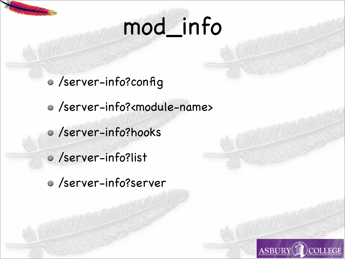# mod\_info

- /server-info?config
- /server-info?<module-name>
- /server-info?hooks
- /server-info?list
- /server-info?server

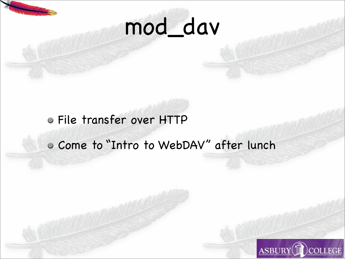

## mod\_dav

#### File transfer over HTTP

#### Come to "Intro to WebDAV" after lunch

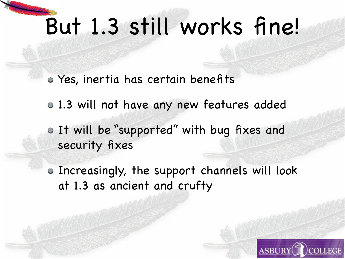## But 1.3 still works fine!

- Yes, inertia has certain benefits
- 1.3 will not have any new features added
- It will be "supported" with bug fixes and security fixes
- Increasingly, the support channels will look at 1.3 as ancient and crufty